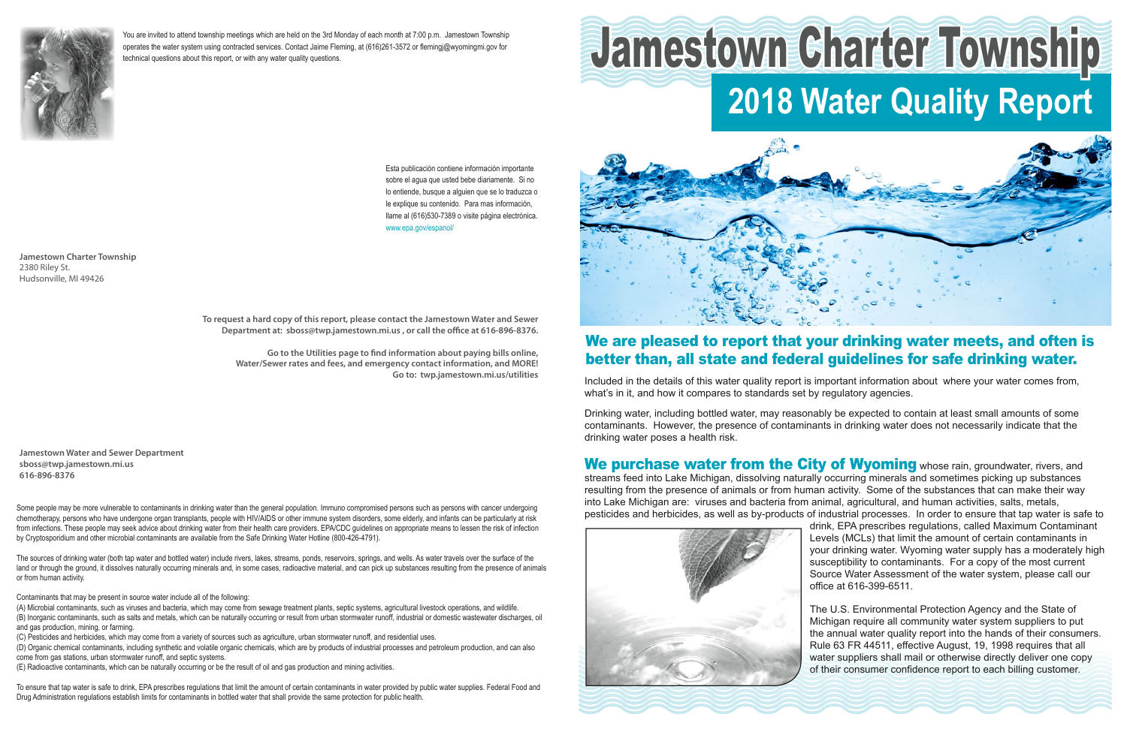Included in the details of this water quality report is important information about where your water comes from, what's in it, and how it compares to standards set by regulatory agencies.

Drinking water, including bottled water, may reasonably be expected to contain at least small amounts of some contaminants. However, the presence of contaminants in drinking water does not necessarily indicate that the drinking water poses a health risk.

We purchase water from the City of Wyoming whose rain, groundwater, rivers, and streams feed into Lake Michigan, dissolving naturally occurring minerals and sometimes picking up substances resulting from the presence of animals or from human activity. Some of the substances that can make their way into Lake Michigan are: viruses and bacteria from animal, agricultural, and human activities, salts, metals, pesticides and herbicides, as well as by-products of industrial processes. In order to ensure that tap water is safe to drink, EPA prescribes regulations, called Maximum Contaminant Levels (MCLs) that limit the amount of certain contaminants in your drinking water. Wyoming water supply has a moderately high susceptibility to contaminants. For a copy of the most current Source Water Assessment of the water system, please call our office at 616-399-6511.



The U.S. Environmental Protection Agency and the State of Michigan require all community water system suppliers to put the annual water quality report into the hands of their consumers. Rule 63 FR 44511, effective August, 19, 1998 requires that all water suppliers shall mail or otherwise directly deliver one copy of their consumer confidence report to each billing customer.

**Jamestown Charter Township** 2380 Riley St. Hudsonville, MI 49426

# We are pleased to report that your drinking water meets, and often is better than, all state and federal guidelines for safe drinking water.

Esta publicación contiene información importante sobre el agua que usted bebe diariamente. Si no lo entiende, busque a alguien que se lo traduzca o le explique su contenido. Para mas información, llame al (616)530-7389 o visite página electrónica. www.epa.gov/espanol/



You are invited to attend township meetings which are held on the 3rd Monday of each month at 7:00 p.m. Jamestown Township operates the water system using contracted services. Contact Jaime Fleming, at (616)261-3572 or flemingj@wyomingmi.gov for technical questions about this report, or with any water quality questions.

# **2018 Water Quality Report** Jamestown Charter Township

**Jamestown Water and Sewer Department sboss@twp.jamestown.mi.us 616-896-8376**

**To request a hard copy of this report, please contact the Jamestown Water and Sewer Department at: sboss@twp.jamestown.mi.us , or call the office at 616-896-8376.**

**Go to the Utilities page to find information about paying bills online, Water/Sewer rates and fees, and emergency contact information, and MORE! Go to: twp.jamestown.mi.us/utilities**

Some people may be more vulnerable to contaminants in drinking water than the general population. Immuno compromised persons such as persons with cancer undergoing chemotherapy, persons who have undergone organ transplants, people with HIV/AIDS or other immune system disorders, some elderly, and infants can be particularly at risk from infections. These people may seek advice about drinking water from their health care providers. EPA/CDC guidelines on appropriate means to lessen the risk of infection by Cryptosporidium and other microbial contaminants are available from the Safe Drinking Water Hotline (800-426-4791).

The sources of drinking water (both tap water and bottled water) include rivers, lakes, streams, ponds, reservoirs, springs, and wells. As water travels over the surface of the land or through the ground, it dissolves naturally occurring minerals and, in some cases, radioactive material, and can pick up substances resulting from the presence of animals or from human activity.

Contaminants that may be present in source water include all of the following:

(A) Microbial contaminants, such as viruses and bacteria, which may come from sewage treatment plants, septic systems, agricultural livestock operations, and wildlife. (B) Inorganic contaminants, such as salts and metals, which can be naturally occurring or result from urban stormwater runoff, industrial or domestic wastewater discharges, oil and gas production, mining, or farming.

(C) Pesticides and herbicides, which may come from a variety of sources such as agriculture, urban stormwater runoff, and residential uses.

(D) Organic chemical contaminants, including synthetic and volatile organic chemicals, which are by products of industrial processes and petroleum production, and can also come from gas stations, urban stormwater runoff, and septic systems.

(E) Radioactive contaminants, which can be naturally occurring or be the result of oil and gas production and mining activities.

To ensure that tap water is safe to drink, EPA prescribes regulations that limit the amount of certain contaminants in water provided by public water supplies. Federal Food and Drug Administration regulations establish limits for contaminants in bottled water that shall provide the same protection for public health.